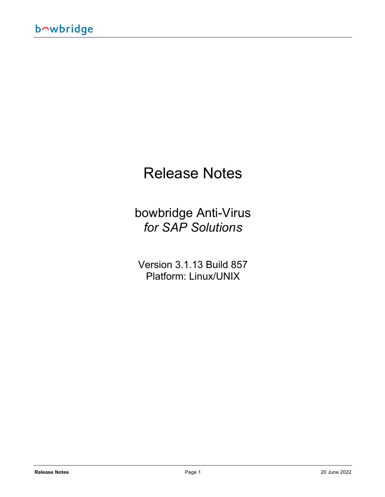# Release Notes

bowbridge Anti-Virus *for SAP Solutions*

Version 3.1.13 Build 857 Platform: Linux/UNIX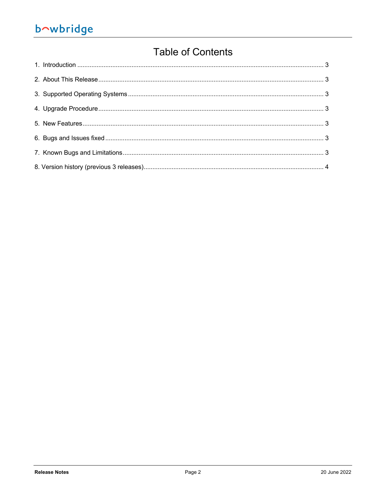# bowbridge

# **Table of Contents**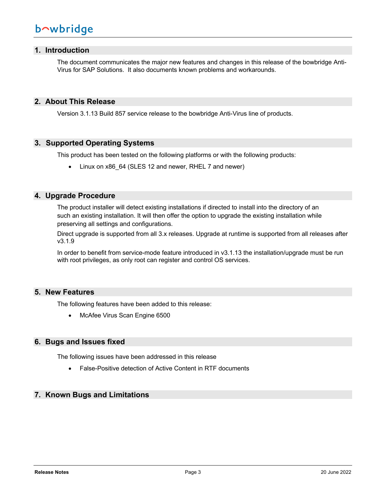# **1. Introduction**

The document communicates the major new features and changes in this release of the bowbridge Anti-Virus for SAP Solutions. It also documents known problems and workarounds.

### **2. About This Release**

Version 3.1.13 Build 857 service release to the bowbridge Anti-Virus line of products.

#### **3. Supported Operating Systems**

This product has been tested on the following platforms or with the following products:

• Linux on x86 64 (SLES 12 and newer, RHEL 7 and newer)

#### **4. Upgrade Procedure**

The product installer will detect existing installations if directed to install into the directory of an such an existing installation. It will then offer the option to upgrade the existing installation while preserving all settings and configurations.

Direct upgrade is supported from all 3.x releases. Upgrade at runtime is supported from all releases after v3.1.9

In order to benefit from service-mode feature introduced in v3.1.13 the installation/upgrade must be run with root privileges, as only root can register and control OS services.

#### **5. New Features**

The following features have been added to this release:

• McAfee Virus Scan Engine 6500

### **6. Bugs and Issues fixed**

The following issues have been addressed in this release

• False-Positive detection of Active Content in RTF documents

## **7. Known Bugs and Limitations**